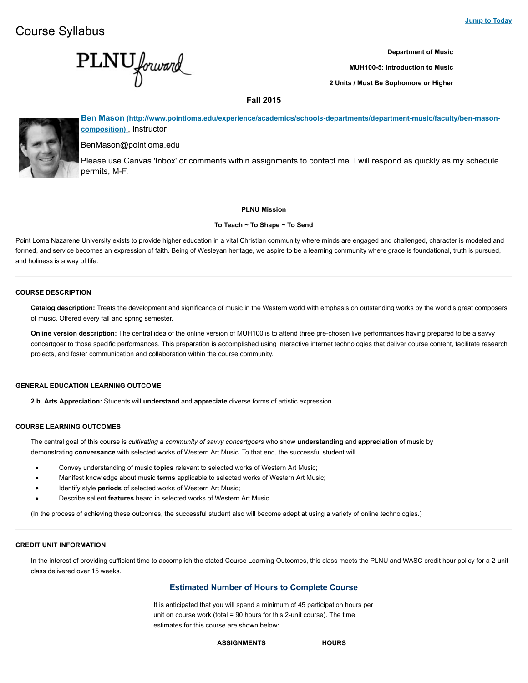**PLNU** forward

**Department of Music**

**MUH100-5: Introduction to Music**

**2 Units / Must Be Sophomore or Higher**

# **Fall 2015**



**[Ben Mason \(http://www.pointloma.edu/experience/academics/schools-departments/department-music/faculty/ben-mason](http://www.pointloma.edu/experience/academics/schools-departments/department-music/faculty/ben-mason-composition)composition)** , Instructor

BenMason@pointloma.edu

Please use Canvas 'Inbox' or comments within assignments to contact me. I will respond as quickly as my schedule permits, M-F.

## **PLNU Mission**

#### **To Teach ~ To Shape ~ To Send**

Point Loma Nazarene University exists to provide higher education in a vital Christian community where minds are engaged and challenged, character is modeled and formed, and service becomes an expression of faith. Being of Wesleyan heritage, we aspire to be a learning community where grace is foundational, truth is pursued, and holiness is a way of life.

## **COURSE DESCRIPTION**

**Catalog description:** Treats the development and significance of music in the Western world with emphasis on outstanding works by the world's great composers of music. Offered every fall and spring semester.

**Online version description:** The central idea of the online version of MUH100 is to attend three pre-chosen live performances having prepared to be a savvy concertgoer to those specific performances. This preparation is accomplished using interactive internet technologies that deliver course content, facilitate research projects, and foster communication and collaboration within the course community.

# **GENERAL EDUCATION LEARNING OUTCOME**

**2.b. Arts Appreciation:** Students will **understand** and **appreciate** diverse forms of artistic expression.

# **COURSE LEARNING OUTCOMES**

The central goal of this course is *cultivating a community of savvy concertgoers* who show **understanding** and **appreciation** of music by demonstrating **conversance** with selected works of Western Art Music. To that end, the successful student will

- Convey understanding of music **topics** relevant to selected works of Western Art Music;  $\bullet$
- Manifest knowledge about music **terms** applicable to selected works of Western Art Music;  $\bullet$
- Identify style **periods** of selected works of Western Art Music;  $\bullet$
- Describe salient **features** heard in selected works of Western Art Music.

(In the process of achieving these outcomes, the successful student also will become adept at using a variety of online technologies.)

# **CREDIT UNIT INFORMATION**

In the interest of providing sufficient time to accomplish the stated Course Learning Outcomes, this class meets the PLNU and WASC credit hour policy for a 2-unit class delivered over 15 weeks.

# **Estimated Number of Hours to Complete Course**

It is anticipated that you will spend a minimum of 45 participation hours per unit on course work (total = 90 hours for this 2-unit course). The time estimates for this course are shown below:

**ASSIGNMENTS HOURS**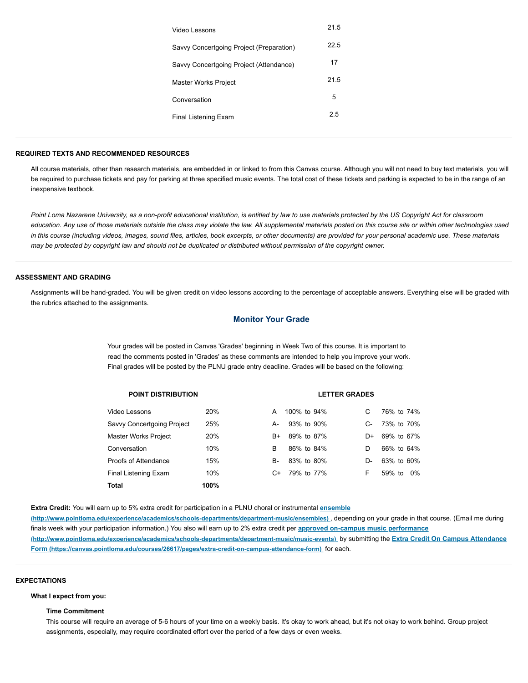| Video Lessons                            | 21.5 |  |
|------------------------------------------|------|--|
| Savvy Concertgoing Project (Preparation) | 22.5 |  |
| Savvy Concertgoing Project (Attendance)  | 17   |  |
| Master Works Project                     | 21.5 |  |
| Conversation                             | 5    |  |
| Final Listening Exam                     | 2.5  |  |
|                                          |      |  |

### **REQUIRED TEXTS AND RECOMMENDED RESOURCES**

All course materials, other than research materials, are embedded in or linked to from this Canvas course. Although you will not need to buy text materials, you will be required to purchase tickets and pay for parking at three specified music events. The total cost of these tickets and parking is expected to be in the range of an inexpensive textbook.

*Point Loma Nazarene University, as a non-profit educational institution, is entitled by law to use materials protected by the US Copyright Act for classroom education. Any use of those materials outside the class may violate the law. All supplemental materials posted on this course site or within other technologies used in this course (including videos, images, sound files, articles, book excerpts, or other documents) are provided for your personal academic use. These materials may be protected by copyright law and should not be duplicated or distributed without permission of the copyright owner.*

# **ASSESSMENT AND GRADING**

Assignments will be hand-graded. You will be given credit on video lessons according to the percentage of acceptable answers. Everything else will be graded with the rubrics attached to the assignments.

# **Monitor Your Grade**

Your grades will be posted in Canvas 'Grades' beginning in Week Two of this course. It is important to read the comments posted in 'Grades' as these comments are intended to help you improve your work. Final grades will be posted by the PLNU grade entry deadline. Grades will be based on the following:

| <b>POINT DISTRIBUTION</b>   |      |           | <b>LETTER GRADES</b> |    |              |
|-----------------------------|------|-----------|----------------------|----|--------------|
| Video Lessons               | 20%  | A         | 100% to 94%          | C  | 76% to 74%   |
| Savvy Concertgoing Project  | 25%  | A-        | 93% to 90%           | C- | 73% to 70%   |
| <b>Master Works Project</b> | 20%  | B+        | 89% to 87%           | D+ | 69% to 67%   |
| Conversation                | 10%  | B         | 86% to 84%           | D  | 66% to 64%   |
| Proofs of Attendance        | 15%  | <b>B-</b> | 83% to 80%           | D- | 63% to 60%   |
| Final Listening Exam        | 10%  | C+        | 79% to 77%           | F  | 59% to<br>0% |
| Total                       | 100% |           |                      |    |              |

**Extra Credit:** You will earn up to 5% extra credit for participation in a PLNU choral or instrumental **ensemble**

**[\(http://www.pointloma.edu/experience/academics/schools-departments/department-music/ensembles\)](http://www.pointloma.edu/experience/academics/schools-departments/department-music/ensembles)** , depending on your grade in that course. (Email me during finals week with your participation information.) You also will earn up to 2% extra credit per **approved on-campus music performance [\(http://www.pointloma.edu/experience/academics/schools-departments/department-music/music-events\)](http://www.pointloma.edu/experience/academics/schools-departments/department-music/music-events)** by submitting the **Extra Credit On Campus Attendance [Form \(https://canvas.pointloma.edu/courses/26617/pages/extra-credit-on-campus-attendance-form\)](https://canvas.pointloma.edu/courses/26617/pages/extra-credit-on-campus-attendance-form)** for each.

#### **EXPECTATIONS**

### **What I expect from you:**

#### **Time Commitment**

This course will require an average of 5-6 hours of your time on a weekly basis. It's okay to work ahead, but it's not okay to work behind. Group project assignments, especially, may require coordinated effort over the period of a few days or even weeks.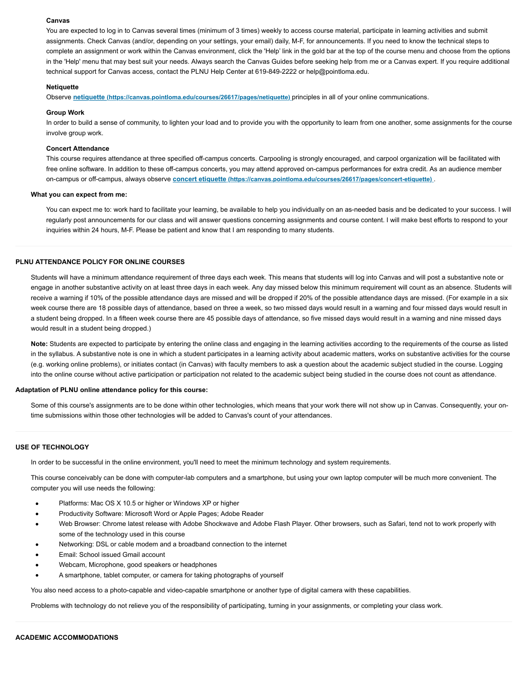#### **Canvas**

You are expected to log in to Canvas several times (minimum of 3 times) weekly to access course material, participate in learning activities and submit assignments. Check Canvas (and/or, depending on your settings, your email) daily, M-F, for announcements. If you need to know the technical steps to complete an assignment or work within the Canvas environment, click the 'Help' link in the gold bar at the top of the course menu and choose from the options in the 'Help' menu that may best suit your needs. Always search the Canvas Guides before seeking help from me or a Canvas expert. If you require additional technical support for Canvas access, contact the PLNU Help Center at 619-849-2222 or help@pointloma.edu.

### **Netiquette**

Observe **[netiquette \(https://canvas.pointloma.edu/courses/26617/pages/netiquette\)](https://canvas.pointloma.edu/courses/26617/pages/netiquette)** principles in all of your online communications.

#### **Group Work**

In order to build a sense of community, to lighten your load and to provide you with the opportunity to learn from one another, some assignments for the course involve group work.

#### **Concert Attendance**

This course requires attendance at three specified off-campus concerts. Carpooling is strongly encouraged, and carpool organization will be facilitated with free online software. In addition to these off-campus concerts, you may attend approved on-campus performances for extra credit. As an audience member on-campus or off-campus, always observe **[concert etiquette \(https://canvas.pointloma.edu/courses/26617/pages/concert-etiquette\)](https://canvas.pointloma.edu/courses/26617/pages/concert-etiquette)** .

#### **What you can expect from me:**

You can expect me to: work hard to facilitate your learning, be available to help you individually on an as-needed basis and be dedicated to your success. I will regularly post announcements for our class and will answer questions concerning assignments and course content. I will make best efforts to respond to your inquiries within 24 hours, M-F. Please be patient and know that I am responding to many students.

## **PLNU ATTENDANCE POLICY FOR ONLINE COURSES**

Students will have a minimum attendance requirement of three days each week. This means that students will log into Canvas and will post a substantive note or engage in another substantive activity on at least three days in each week. Any day missed below this minimum requirement will count as an absence. Students will receive a warning if 10% of the possible attendance days are missed and will be dropped if 20% of the possible attendance days are missed. (For example in a six week course there are 18 possible days of attendance, based on three a week, so two missed days would result in a warning and four missed days would result in a student being dropped. In a fifteen week course there are 45 possible days of attendance, so five missed days would result in a warning and nine missed days would result in a student being dropped.)

**Note:** Students are expected to participate by entering the online class and engaging in the learning activities according to the requirements of the course as listed in the syllabus. A substantive note is one in which a student participates in a learning activity about academic matters, works on substantive activities for the course (e.g. working online problems), or initiates contact (in Canvas) with faculty members to ask a question about the academic subject studied in the course. Logging into the online course without active participation or participation not related to the academic subject being studied in the course does not count as attendance.

#### **Adaptation of PLNU online attendance policy for this course:**

Some of this course's assignments are to be done within other technologies, which means that your work there will not show up in Canvas. Consequently, your ontime submissions within those other technologies will be added to Canvas's count of your attendances.

### **USE OF TECHNOLOGY**

In order to be successful in the online environment, you'll need to meet the minimum technology and system requirements.

This course conceivably can be done with computer-lab computers and a smartphone, but using your own laptop computer will be much more convenient. The computer you will use needs the following:

- Platforms: Mac OS X 10.5 or higher or Windows XP or higher
- Productivity Software: Microsoft Word or Apple Pages; Adobe Reader  $\bullet$
- Web Browser: Chrome latest release with Adobe Shockwave and Adobe Flash Player. Other browsers, such as Safari, tend not to work properly with some of the technology used in this course
- Networking: DSL or cable modem and a broadband connection to the internet
- Email: School issued Gmail account
- Webcam, Microphone, good speakers or headphones
- A smartphone, tablet computer, or camera for taking photographs of yourself

You also need access to a photo-capable and video-capable smartphone or another type of digital camera with these capabilities.

Problems with technology do not relieve you of the responsibility of participating, turning in your assignments, or completing your class work.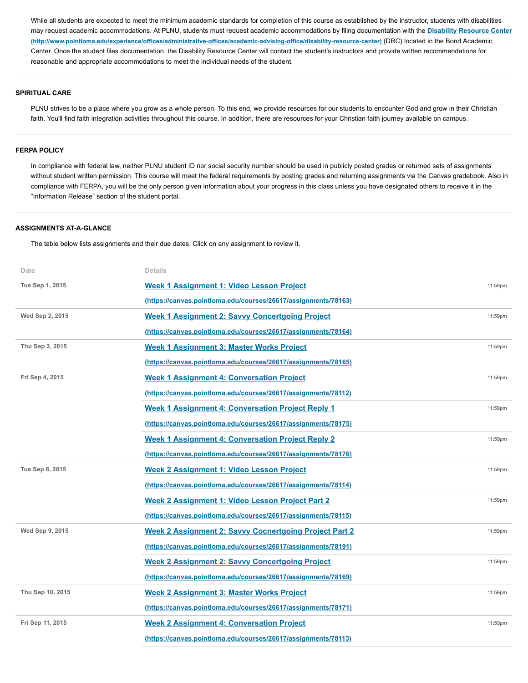While all students are expected to meet the minimum academic standards for completion of this course as established by the instructor, students with disabilities [may request academic accommodations. At PLNU, students must request academic accommodations by filing documentation with the](http://www.pointloma.edu/experience/offices/administrative-offices/academic-advising-office/disability-resource-center) **Disability Resource Center (http://www.pointloma.edu/experience/offices/administrative-offices/academic-advising-office/disability-resource-center)** (DRC) located in the Bond Academic Center. Once the student files documentation, the Disability Resource Center will contact the student's instructors and provide written recommendations for reasonable and appropriate accommodations to meet the individual needs of the student.

# **SPIRITUAL CARE**

PLNU strives to be a place where you grow as a whole person. To this end, we provide resources for our students to encounter God and grow in their Christian faith. You'll find faith integration activities throughout this course. In addition, there are resources for your Christian faith journey available on campus.

#### **FERPA POLICY**

In compliance with federal law, neither PLNU student ID nor social security number should be used in publicly posted grades or returned sets of assignments without student written permission. This course will meet the federal requirements by posting grades and returning assignments via the Canvas gradebook. Also in compliance with FERPA, you will be the only person given information about your progress in this class unless you have designated others to receive it in the "Information Release" section of the student portal.

# **ASSIGNMENTS AT-A-GLANCE**

The table below lists assignments and their due dates. Click on any assignment to review it.

| Date             | <b>Details</b>                                                 |         |
|------------------|----------------------------------------------------------------|---------|
| Tue Sep 1, 2015  | Week 1 Assignment 1: Video Lesson Project                      | 11:59pm |
|                  | (https://canvas.pointloma.edu/courses/26617/assignments/78163) |         |
| Wed Sep 2, 2015  | <b>Week 1 Assignment 2: Savvy Concertgoing Project</b>         | 11:59pm |
|                  | (https://canvas.pointloma.edu/courses/26617/assignments/78164) |         |
| Thu Sep 3, 2015  | Week 1 Assignment 3: Master Works Project                      | 11:59pm |
|                  | (https://canvas.pointloma.edu/courses/26617/assignments/78165) |         |
| Fri Sep 4, 2015  | <b>Week 1 Assignment 4: Conversation Project</b>               | 11:59pm |
|                  | (https://canvas.pointloma.edu/courses/26617/assignments/78112) |         |
|                  | <b>Week 1 Assignment 4: Conversation Project Reply 1</b>       | 11:59pm |
|                  | (https://canvas.pointloma.edu/courses/26617/assignments/78175) |         |
|                  | <b>Week 1 Assignment 4: Conversation Project Reply 2</b>       | 11:59pm |
|                  | (https://canvas.pointloma.edu/courses/26617/assignments/78176) |         |
| Tue Sep 8, 2015  | Week 2 Assignment 1: Video Lesson Project                      | 11:59pm |
|                  | (https://canvas.pointloma.edu/courses/26617/assignments/78114) |         |
|                  | Week 2 Assignment 1: Video Lesson Project Part 2               | 11:59pm |
|                  | (https://canvas.pointloma.edu/courses/26617/assignments/78115) |         |
| Wed Sep 9, 2015  | <b>Week 2 Assignment 2: Savvy Cocnertgoing Project Part 2</b>  | 11:59pm |
|                  | (https://canvas.pointloma.edu/courses/26617/assignments/78191) |         |
|                  | <b>Week 2 Assignment 2: Savvy Concertgoing Project</b>         | 11:59pm |
|                  | (https://canvas.pointloma.edu/courses/26617/assignments/78169) |         |
| Thu Sep 10, 2015 | <b>Week 2 Assignment 3: Master Works Project</b>               | 11:59pm |
|                  | (https://canvas.pointloma.edu/courses/26617/assignments/78171) |         |
| Fri Sep 11, 2015 | <b>Week 2 Assignment 4: Conversation Project</b>               | 11:59pm |
|                  | (https://canvas.pointloma.edu/courses/26617/assignments/78113) |         |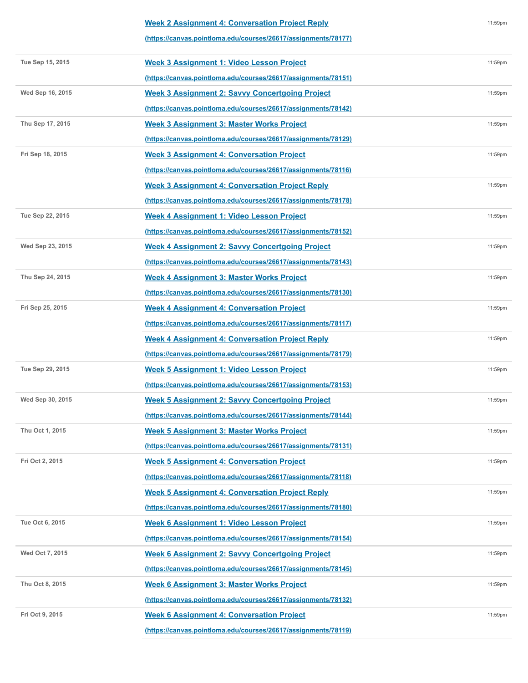| <b>Week 2 Assignment 4: Conversation Project Reply</b>         |
|----------------------------------------------------------------|
| (https://canvas.pointloma.edu/courses/26617/assignments/78177) |
|                                                                |

11:59pm

| Tue Sep 15, 2015 | Week 3 Assignment 1: Video Lesson Project                      | 11:59pm |
|------------------|----------------------------------------------------------------|---------|
|                  | (https://canvas.pointloma.edu/courses/26617/assignments/78151) |         |
| Wed Sep 16, 2015 | <b>Week 3 Assignment 2: Savvy Concertgoing Project</b>         | 11:59pm |
|                  | (https://canvas.pointloma.edu/courses/26617/assignments/78142) |         |
| Thu Sep 17, 2015 | Week 3 Assignment 3: Master Works Project                      | 11:59pm |
|                  | (https://canvas.pointloma.edu/courses/26617/assignments/78129) |         |
| Fri Sep 18, 2015 | <b>Week 3 Assignment 4: Conversation Project</b>               | 11:59pm |
|                  | (https://canvas.pointloma.edu/courses/26617/assignments/78116) |         |
|                  | <b>Week 3 Assignment 4: Conversation Project Reply</b>         | 11:59pm |
|                  | (https://canvas.pointloma.edu/courses/26617/assignments/78178) |         |
| Tue Sep 22, 2015 | Week 4 Assignment 1: Video Lesson Project                      | 11:59pm |
|                  | (https://canvas.pointloma.edu/courses/26617/assignments/78152) |         |
| Wed Sep 23, 2015 | <b>Week 4 Assignment 2: Savvy Concertgoing Project</b>         | 11:59pm |
|                  | (https://canvas.pointloma.edu/courses/26617/assignments/78143) |         |
| Thu Sep 24, 2015 | <b>Week 4 Assignment 3: Master Works Project</b>               | 11:59pm |
|                  | (https://canvas.pointloma.edu/courses/26617/assignments/78130) |         |
| Fri Sep 25, 2015 | <b>Week 4 Assignment 4: Conversation Project</b>               | 11:59pm |
|                  | (https://canvas.pointloma.edu/courses/26617/assignments/78117) |         |
|                  | <b>Week 4 Assignment 4: Conversation Project Reply</b>         | 11:59pm |
|                  | (https://canvas.pointloma.edu/courses/26617/assignments/78179) |         |
| Tue Sep 29, 2015 | Week 5 Assignment 1: Video Lesson Project                      | 11:59pm |
|                  | (https://canvas.pointloma.edu/courses/26617/assignments/78153) |         |
| Wed Sep 30, 2015 | <b>Week 5 Assignment 2: Savvy Concertgoing Project</b>         | 11:59pm |
|                  | (https://canvas.pointloma.edu/courses/26617/assignments/78144) |         |
| Thu Oct 1, 2015  | Week 5 Assignment 3: Master Works Project                      | 11:59pm |
|                  | (https://canvas.pointloma.edu/courses/26617/assignments/78131) |         |
| Fri Oct 2, 2015  | <b>Week 5 Assignment 4: Conversation Project</b>               | 11:59pm |
|                  | (https://canvas.pointloma.edu/courses/26617/assignments/78118) |         |
|                  | <b>Week 5 Assignment 4: Conversation Project Reply</b>         | 11:59pm |
|                  | (https://canvas.pointloma.edu/courses/26617/assignments/78180) |         |
| Tue Oct 6, 2015  | Week 6 Assignment 1: Video Lesson Project                      | 11:59pm |
|                  | (https://canvas.pointloma.edu/courses/26617/assignments/78154) |         |
| Wed Oct 7, 2015  | <b>Week 6 Assignment 2: Savvy Concertgoing Project</b>         | 11:59pm |
|                  | (https://canvas.pointloma.edu/courses/26617/assignments/78145) |         |
| Thu Oct 8, 2015  | Week 6 Assignment 3: Master Works Project                      | 11:59pm |
|                  | (https://canvas.pointloma.edu/courses/26617/assignments/78132) |         |
| Fri Oct 9, 2015  | <b>Week 6 Assignment 4: Conversation Project</b>               | 11:59pm |
|                  | (https://canvas.pointloma.edu/courses/26617/assignments/78119) |         |
|                  |                                                                |         |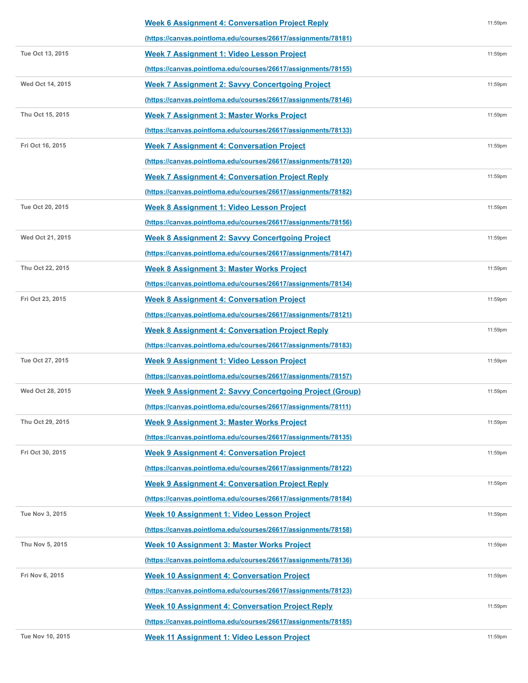|                  | <b>Week 6 Assignment 4: Conversation Project Reply</b>         | 11:59pm |
|------------------|----------------------------------------------------------------|---------|
|                  | (https://canvas.pointloma.edu/courses/26617/assignments/78181) |         |
| Tue Oct 13, 2015 | Week 7 Assignment 1: Video Lesson Project                      | 11:59pm |
|                  | (https://canvas.pointloma.edu/courses/26617/assignments/78155) |         |
| Wed Oct 14, 2015 | <b>Week 7 Assignment 2: Savvy Concertgoing Project</b>         | 11:59pm |
|                  | (https://canvas.pointloma.edu/courses/26617/assignments/78146) |         |
| Thu Oct 15, 2015 | <b>Week 7 Assignment 3: Master Works Project</b>               | 11:59pm |
|                  | (https://canvas.pointloma.edu/courses/26617/assignments/78133) |         |
| Fri Oct 16, 2015 | <b>Week 7 Assignment 4: Conversation Project</b>               | 11:59pm |
|                  | (https://canvas.pointloma.edu/courses/26617/assignments/78120) |         |
|                  | <b>Week 7 Assignment 4: Conversation Project Reply</b>         | 11:59pm |
|                  | (https://canvas.pointloma.edu/courses/26617/assignments/78182) |         |
| Tue Oct 20, 2015 | Week 8 Assignment 1: Video Lesson Project                      | 11:59pm |
|                  | (https://canvas.pointloma.edu/courses/26617/assignments/78156) |         |
| Wed Oct 21, 2015 | <b>Week 8 Assignment 2: Savvy Concertgoing Project</b>         | 11:59pm |
|                  | (https://canvas.pointloma.edu/courses/26617/assignments/78147) |         |
| Thu Oct 22, 2015 | Week 8 Assignment 3: Master Works Project                      | 11:59pm |
|                  | (https://canvas.pointloma.edu/courses/26617/assignments/78134) |         |
| Fri Oct 23, 2015 | <b>Week 8 Assignment 4: Conversation Project</b>               | 11:59pm |
|                  | (https://canvas.pointloma.edu/courses/26617/assignments/78121) |         |
|                  | <b>Week 8 Assignment 4: Conversation Project Reply</b>         | 11:59pm |
|                  | (https://canvas.pointloma.edu/courses/26617/assignments/78183) |         |
| Tue Oct 27, 2015 | Week 9 Assignment 1: Video Lesson Project                      | 11:59pm |
|                  | (https://canvas.pointloma.edu/courses/26617/assignments/78157) |         |
| Wed Oct 28, 2015 | <b>Week 9 Assignment 2: Savvy Concertgoing Project (Group)</b> | 11:59pm |
|                  | (https://canvas.pointloma.edu/courses/26617/assignments/78111) |         |
| Thu Oct 29, 2015 | Week 9 Assignment 3: Master Works Project                      | 11:59pm |
|                  | (https://canvas.pointloma.edu/courses/26617/assignments/78135) |         |
| Fri Oct 30, 2015 | <b>Week 9 Assignment 4: Conversation Project</b>               | 11:59pm |
|                  | (https://canvas.pointloma.edu/courses/26617/assignments/78122) |         |
|                  | <b>Week 9 Assignment 4: Conversation Project Reply</b>         | 11:59pm |
|                  | (https://canvas.pointloma.edu/courses/26617/assignments/78184) |         |
| Tue Nov 3, 2015  | Week 10 Assignment 1: Video Lesson Project                     | 11:59pm |
|                  | (https://canvas.pointloma.edu/courses/26617/assignments/78158) |         |
| Thu Nov 5, 2015  | Week 10 Assignment 3: Master Works Project                     | 11:59pm |
|                  | (https://canvas.pointloma.edu/courses/26617/assignments/78136) |         |
| Fri Nov 6, 2015  | <b>Week 10 Assignment 4: Conversation Project</b>              | 11:59pm |
|                  | (https://canvas.pointloma.edu/courses/26617/assignments/78123) |         |
|                  | <b>Week 10 Assignment 4: Conversation Project Reply</b>        | 11:59pm |
|                  | (https://canvas.pointloma.edu/courses/26617/assignments/78185) |         |
| Tue Nov 10, 2015 | Week 11 Assignment 1: Video Lesson Project                     | 11:59pm |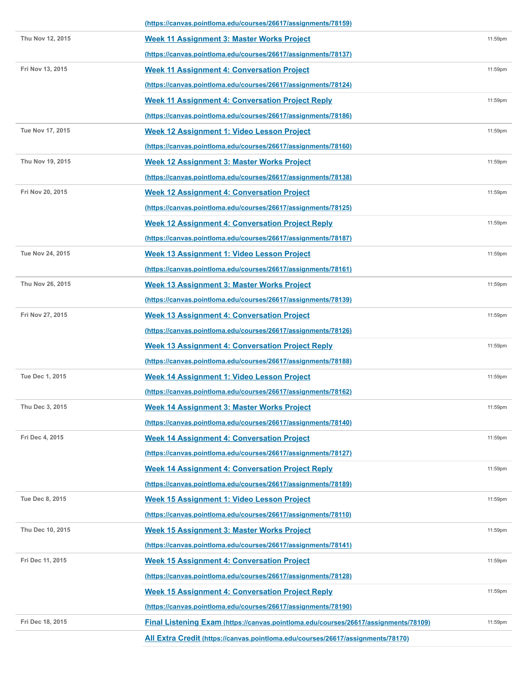|                  | (https://canvas.pointloma.edu/courses/26617/assignments/78159)                             |            |
|------------------|--------------------------------------------------------------------------------------------|------------|
| Thu Nov 12, 2015 | Week 11 Assignment 3: Master Works Project                                                 | 11:59pm    |
|                  | (https://canvas.pointloma.edu/courses/26617/assignments/78137)                             |            |
| Fri Nov 13, 2015 | <b>Week 11 Assignment 4: Conversation Project</b>                                          | 11:59pm    |
|                  | (https://canvas.pointloma.edu/courses/26617/assignments/78124)                             |            |
|                  | <b>Week 11 Assignment 4: Conversation Project Reply</b>                                    | 11:59pm    |
|                  | (https://canvas.pointloma.edu/courses/26617/assignments/78186)                             |            |
| Tue Nov 17, 2015 | Week 12 Assignment 1: Video Lesson Project                                                 | 11:59pm    |
|                  | (https://canvas.pointloma.edu/courses/26617/assignments/78160)                             |            |
| Thu Nov 19, 2015 | Week 12 Assignment 3: Master Works Project                                                 | 11:59pm    |
|                  | (https://canvas.pointloma.edu/courses/26617/assignments/78138)                             |            |
| Fri Nov 20, 2015 | <b>Week 12 Assignment 4: Conversation Project</b>                                          | 11:59pm    |
|                  | (https://canvas.pointloma.edu/courses/26617/assignments/78125)                             |            |
|                  | <b>Week 12 Assignment 4: Conversation Project Reply</b>                                    | 11:59pm    |
|                  | (https://canvas.pointloma.edu/courses/26617/assignments/78187)                             |            |
| Tue Nov 24, 2015 | Week 13 Assignment 1: Video Lesson Project                                                 | 11:59pm    |
|                  | (https://canvas.pointloma.edu/courses/26617/assignments/78161)                             |            |
| Thu Nov 26, 2015 | Week 13 Assignment 3: Master Works Project                                                 | 11:59pm    |
|                  | (https://canvas.pointloma.edu/courses/26617/assignments/78139)                             |            |
| Fri Nov 27, 2015 | <b>Week 13 Assignment 4: Conversation Project</b>                                          | 11:59pm    |
|                  | (https://canvas.pointloma.edu/courses/26617/assignments/78126)                             |            |
|                  | Week 13 Assignment 4: Conversation Project Reply                                           | 11:59pm    |
|                  | (https://canvas.pointloma.edu/courses/26617/assignments/78188)                             |            |
| Tue Dec 1, 2015  | Week 14 Assignment 1: Video Lesson Project                                                 | 11:59pm    |
|                  | (https://canvas.pointloma.edu/courses/26617/assignments/78162)                             |            |
| Thu Dec 3, 2015  | <b>Week 14 Assignment 3: Master Works Project</b>                                          | $11:59$ pm |
|                  | (https://canvas.pointloma.edu/courses/26617/assignments/78140)                             |            |
| Fri Dec 4, 2015  | <b>Week 14 Assignment 4: Conversation Project</b>                                          | 11:59pm    |
|                  | (https://canvas.pointloma.edu/courses/26617/assignments/78127)                             |            |
|                  | <b>Week 14 Assignment 4: Conversation Project Reply</b>                                    | 11:59pm    |
|                  | (https://canvas.pointloma.edu/courses/26617/assignments/78189)                             |            |
| Tue Dec 8, 2015  | Week 15 Assignment 1: Video Lesson Project                                                 | 11:59pm    |
|                  | (https://canvas.pointloma.edu/courses/26617/assignments/78110)                             |            |
| Thu Dec 10, 2015 | Week 15 Assignment 3: Master Works Project                                                 | 11:59pm    |
|                  | (https://canvas.pointloma.edu/courses/26617/assignments/78141)                             |            |
| Fri Dec 11, 2015 | <b>Week 15 Assignment 4: Conversation Project</b>                                          | 11:59pm    |
|                  | (https://canvas.pointloma.edu/courses/26617/assignments/78128)                             |            |
|                  | Week 15 Assignment 4: Conversation Project Reply                                           | 11:59pm    |
|                  | (https://canvas.pointloma.edu/courses/26617/assignments/78190)                             |            |
| Fri Dec 18, 2015 | <b>Final Listening Exam (https://canvas.pointloma.edu/courses/26617/assignments/78109)</b> | 11:59pm    |
|                  | All Extra Credit (https://canvas.pointloma.edu/courses/26617/assignments/78170)            |            |